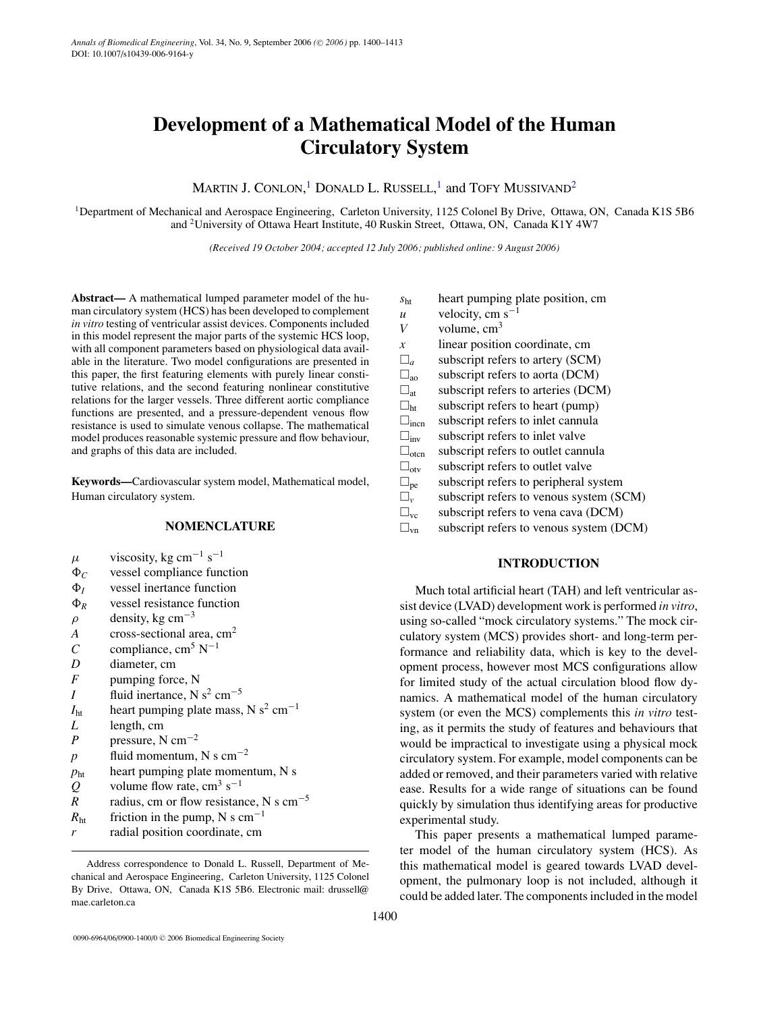# **Development of a Mathematical Model of the Human Circulatory System**

MARTIN J. CONLON,<sup>[1](#page-0-0)</sup> DONALD L. RUSSELL,<sup>1</sup> and TOFY MUSSIVAND<sup>2</sup>

<span id="page-0-1"></span><span id="page-0-0"></span>1Department of Mechanical and Aerospace Engineering, Carleton University, 1125 Colonel By Drive, Ottawa, ON, Canada K1S 5B6 and 2University of Ottawa Heart Institute, 40 Ruskin Street, Ottawa, ON, Canada K1Y 4W7

*(Received 19 October 2004; accepted 12 July 2006; published online: 9 August 2006)*

**Abstract—** A mathematical lumped parameter model of the human circulatory system (HCS) has been developed to complement *in vitro* testing of ventricular assist devices. Components included in this model represent the major parts of the systemic HCS loop, with all component parameters based on physiological data available in the literature. Two model configurations are presented in this paper, the first featuring elements with purely linear constitutive relations, and the second featuring nonlinear constitutive relations for the larger vessels. Three different aortic compliance functions are presented, and a pressure-dependent venous flow resistance is used to simulate venous collapse. The mathematical model produces reasonable systemic pressure and flow behaviour, and graphs of this data are included.

**Keywords—**Cardiovascular system model, Mathematical model, Human circulatory system.

# **NOMENCLATURE**

| $\mu$            | viscosity, kg cm <sup>-1</sup> s <sup>-1</sup>     |
|------------------|----------------------------------------------------|
| $\Phi_C$         | vessel compliance function                         |
| $\Phi_I$         | vessel inertance function                          |
| $\Phi_R$         | vessel resistance function                         |
| $\rho$           | density, kg $cm^{-3}$                              |
| A                | cross-sectional area, $cm2$                        |
| C                | compliance, $cm5 N-1$                              |
| D                | diameter, cm                                       |
| F                | pumping force, N                                   |
| I                | fluid inertance, N $s^2$ cm <sup>-5</sup>          |
| $I_{\text{ht}}$  | heart pumping plate mass, N $s^2$ cm <sup>-1</sup> |
| L                | length, cm                                         |
| P                | pressure, $N \text{ cm}^{-2}$                      |
| $\boldsymbol{p}$ | fluid momentum, N s $cm^{-2}$                      |
| $p_{\text{ht}}$  | heart pumping plate momentum, N s                  |
| $\mathcal{Q}$    | volume flow rate, $cm3 s-1$                        |
| $\boldsymbol{R}$ | radius, cm or flow resistance, N s $cm^{-5}$       |
| $R_{\rm ht}$     | friction in the pump, N s $cm^{-1}$                |
| r                | radial position coordinate, cm                     |
|                  |                                                    |

Address correspondence to Donald L. Russell, Department of Mechanical and Aerospace Engineering, Carleton University, 1125 Colonel By Drive, Ottawa, ON, Canada K1S 5B6. Electronic mail: drussell@ mae.carleton.ca

| heart pumping plate position, cm        |
|-----------------------------------------|
| velocity, cm $s^{-1}$                   |
| volume, cm <sup>3</sup>                 |
| linear position coordinate, cm          |
| subscript refers to artery (SCM)        |
| subscript refers to aorta (DCM)         |
| subscript refers to arteries (DCM)      |
| subscript refers to heart (pump)        |
| subscript refers to inlet cannula       |
| subscript refers to inlet valve         |
| subscript refers to outlet cannula      |
| subscript refers to outlet valve        |
| subscript refers to peripheral system   |
| subscript refers to venous system (SCM) |
| subscript refers to vena cava (DCM)     |
| subscript refers to venous system (DCM) |
|                                         |

# **INTRODUCTION**

Much total artificial heart (TAH) and left ventricular assist device (LVAD) development work is performed *in vitro*, using so-called "mock circulatory systems." The mock circulatory system (MCS) provides short- and long-term performance and reliability data, which is key to the development process, however most MCS configurations allow for limited study of the actual circulation blood flow dynamics. A mathematical model of the human circulatory system (or even the MCS) complements this *in vitro* testing, as it permits the study of features and behaviours that would be impractical to investigate using a physical mock circulatory system. For example, model components can be added or removed, and their parameters varied with relative ease. Results for a wide range of situations can be found quickly by simulation thus identifying areas for productive experimental study.

This paper presents a mathematical lumped parameter model of the human circulatory system (HCS). As this mathematical model is geared towards LVAD development, the pulmonary loop is not included, although it could be added later. The components included in the model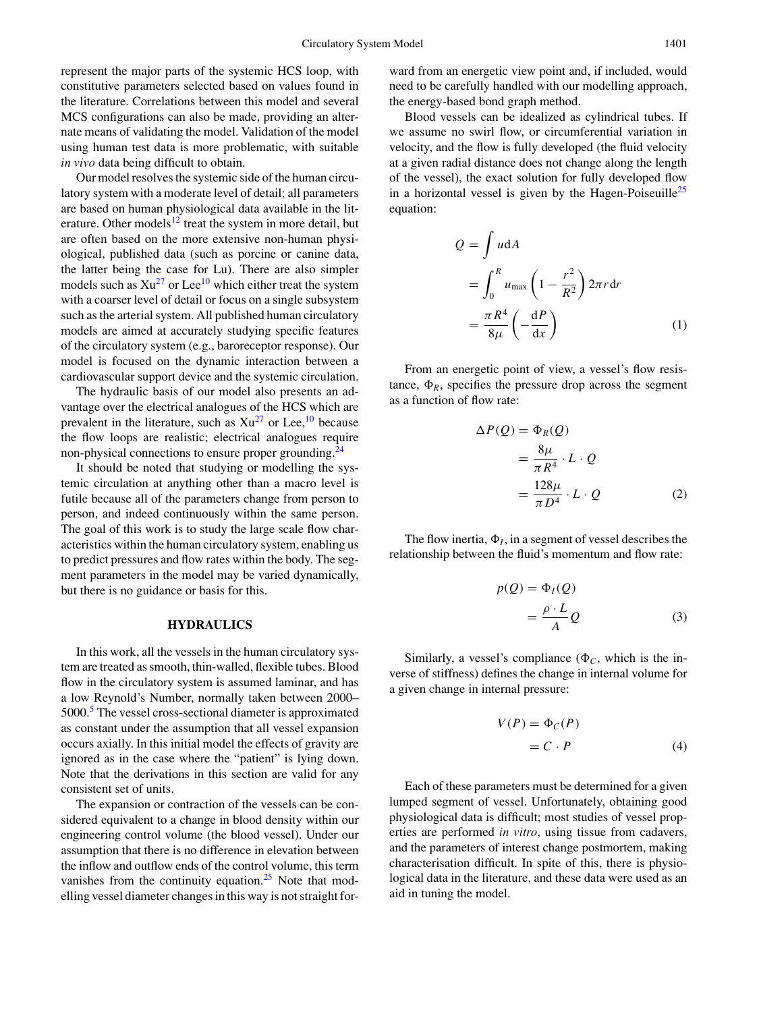represent the major parts of the systemic HCS loop, with constitutive parameters selected based on values found in the literature. Correlations between this model and several MCS configurations can also be made, providing an alternate means of validating the model. Validation of the model using human test data is more problematic, with suitable *in vivo* data being difficult to obtain.

Our model resolves the systemic side of the human circulatory system with a moderate level of detail; all parameters are based on human physiological data available in the literature. Other model[s](#page-13-0) $12$  treat the system in more detail, but are often based on the more extensive non-human physiological, published data (such as porcine or canine data, the latter being the case for Lu). There are also simpler models s[u](#page-13-1)ch as  $Xu^{27}$  or L[e](#page-13-2)e<sup>10</sup> which either treat the system with a coarser level of detail or focus on a single subsystem such as the arterial system. All published human circulatory models are aimed at accurately studying specific features of the circulatory system (e.g., baroreceptor response). Our model is focused on the dynamic interaction between a cardiovascular support device and the systemic circulation.

The hydraulic basis of our model also presents an advantage over the electrical analogues of the HCS which are prevalent in the literat[u](#page-13-1)re[,](#page-13-2) such as  $Xu^{27}$  or Lee,  $^{10}$  because the flow loops are realistic; electrical analogues require non-physical connections to ensure proper grounding[.](#page-13-3)<sup>24</sup>

It should be noted that studying or modelling the systemic circulation at anything other than a macro level is futile because all of the parameters change from person to person, and indeed continuously within the same person. The goal of this work is to study the large scale flow characteristics within the human circulatory system, enabling us to predict pressures and flow rates within the body. The segment parameters in the model may be varied dynamically, but there is no guidance or basis for this.

#### **HYDRAULICS**

In this work, all the vessels in the human circulatory system are treated as smooth, thin-walled, flexible tubes. Blood flow in the circulatory system is assumed laminar, and has a low Reynold's Number, normally taken between 2000– 5000[.](#page-13-4)<sup>5</sup> The vessel cross-sectional diameter is approximated as constant under the assumption that all vessel expansion occurs axially. In this initial model the effects of gravity are ignored as in the case where the "patient" is lying down. Note that the derivations in this section are valid for any consistent set of units.

The expansion or contraction of the vessels can be considered equivalent to a change in blood density within our engineering control volume (the blood vessel). Under our assumption that there is no difference in elevation between the inflow and outflow ends of the control volume, this term vanishes from the continuity equation[.](#page-13-5) $25$  Note that modelling vessel diameter changes in this way is not straight forward from an energetic view point and, if included, would need to be carefully handled with our modelling approach, the energy-based bond graph method.

Blood vessels can be idealized as cylindrical tubes. If we assume no swirl flow, or circumferential variation in velocity, and the flow is fully developed (the fluid velocity at a given radial distance does not change along the length of the vessel), the exact solution for fully developed flow in a horizontal v[e](#page-13-5)ssel is given by the Hagen-Poiseuille<sup>25</sup> equation:

$$
Q = \int u dA
$$
  
= 
$$
\int_0^R u_{\text{max}} \left( 1 - \frac{r^2}{R^2} \right) 2\pi r dr
$$
  
= 
$$
\frac{\pi R^4}{8\mu} \left( -\frac{dP}{dx} \right)
$$
 (1)

From an energetic point of view, a vessel's flow resistance,  $\Phi_R$ , specifies the pressure drop across the segment as a function of flow rate:

<span id="page-1-1"></span>
$$
\Delta P(Q) = \Phi_R(Q)
$$
  
=  $\frac{8\mu}{\pi R^4} \cdot L \cdot Q$   
=  $\frac{128\mu}{\pi D^4} \cdot L \cdot Q$  (2)

The flow inertia,  $\Phi_l$ , in a segment of vessel describes the relationship between the fluid's momentum and flow rate:

<span id="page-1-0"></span>
$$
p(Q) = \Phi_I(Q)
$$
  
=  $\frac{\rho \cdot L}{A}Q$  (3)

Similarly, a vessel's compliance ( $\Phi_C$ , which is the inverse of stiffness) defines the change in internal volume for a given change in internal pressure:

$$
V(P) = \Phi_C(P)
$$
  
=  $C \cdot P$  (4)

Each of these parameters must be determined for a given lumped segment of vessel. Unfortunately, obtaining good physiological data is difficult; most studies of vessel properties are performed *in vitro*, using tissue from cadavers, and the parameters of interest change postmortem, making characterisation difficult. In spite of this, there is physiological data in the literature, and these data were used as an aid in tuning the model.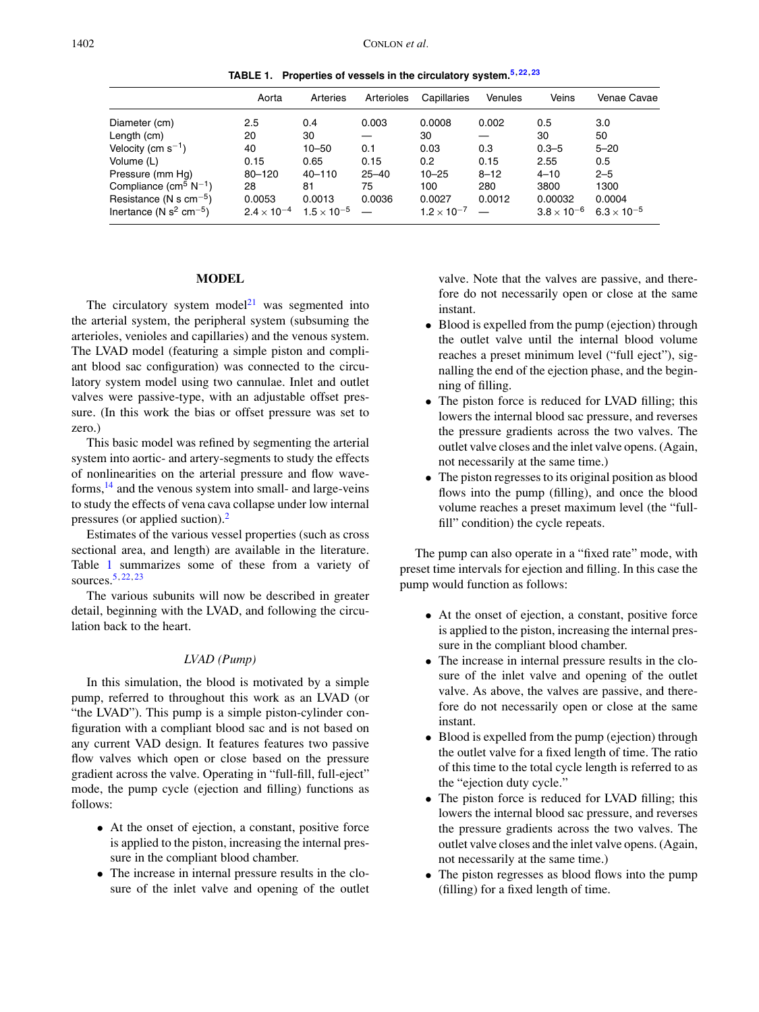**TABLE 1. Properties of vessels in the circulatory system[.](#page-13-4)5***,***22***,***<sup>23</sup>**

<span id="page-2-0"></span>

|                                        | Aorta                | Arteries             | Arterioles | Capillaries          | Venules  | Veins                | Venae Cavae          |
|----------------------------------------|----------------------|----------------------|------------|----------------------|----------|----------------------|----------------------|
| Diameter (cm)                          | 2.5                  | 0.4                  | 0.003      | 0.0008               | 0.002    | 0.5                  | 3.0                  |
| Length (cm)                            | 20                   | 30                   |            | 30                   |          | 30                   | 50                   |
| Velocity (cm $s^{-1}$ )                | 40                   | $10 - 50$            | 0.1        | 0.03                 | 0.3      | $0.3 - 5$            | $5 - 20$             |
| Volume (L)                             | 0.15                 | 0.65                 | 0.15       | 0.2                  | 0.15     | 2.55                 | 0.5                  |
| Pressure (mm Hg)                       | $80 - 120$           | $40 - 110$           | $25 - 40$  | $10 - 25$            | $8 - 12$ | $4 - 10$             | $2 - 5$              |
| Compliance (cm <sup>5</sup> $N^{-1}$ ) | 28                   | 81                   | 75         | 100                  | 280      | 3800                 | 1300                 |
| Resistance (N s cm <sup>-5</sup> )     | 0.0053               | 0.0013               | 0.0036     | 0.0027               | 0.0012   | 0.00032              | 0.0004               |
| Inertance (N $s^2$ cm <sup>-5</sup> )  | $2.4 \times 10^{-4}$ | $1.5 \times 10^{-5}$ |            | $1.2 \times 10^{-7}$ |          | $3.8 \times 10^{-6}$ | $6.3 \times 10^{-5}$ |

#### **MODEL**

The circu[l](#page-13-6)atory system model<sup>21</sup> was segmented into the arterial system, the peripheral system (subsuming the arterioles, venioles and capillaries) and the venous system. The LVAD model (featuring a simple piston and compliant blood sac configuration) was connected to the circulatory system model using two cannulae. Inlet and outlet valves were passive-type, with an adjustable offset pressure. (In this work the bias or offset pressure was set to zero.)

This basic model was refined by segmenting the arterial system into aortic- and artery-segments to study the effects of nonlinearities on the arterial pressure and flow wave-forms[,](#page-13-7)  $^{14}$  and the venous system into small- and large-veins to study the effects of vena cava collapse under low internal pressures (or applied suction)[.](#page-12-0)<sup>2</sup>

Estimates of the various vessel properties (such as cross sectional area, and length) are available in the literature. Table [1](#page-2-0) summarizes some of these from a variety of sources[.](#page-13-4)<sup>5</sup>,22,<sup>23</sup>

The various subunits will now be described in greater detail, beginning with the LVAD, and following the circulation back to the heart.

# *LVAD (Pump)*

In this simulation, the blood is motivated by a simple pump, referred to throughout this work as an LVAD (or "the LVAD"). This pump is a simple piston-cylinder configuration with a compliant blood sac and is not based on any current VAD design. It features features two passive flow valves which open or close based on the pressure gradient across the valve. Operating in "full-fill, full-eject" mode, the pump cycle (ejection and filling) functions as follows:

- At the onset of ejection, a constant, positive force is applied to the piston, increasing the internal pressure in the compliant blood chamber.
- The increase in internal pressure results in the closure of the inlet valve and opening of the outlet

valve. Note that the valves are passive, and therefore do not necessarily open or close at the same instant.

- Blood is expelled from the pump (ejection) through the outlet valve until the internal blood volume reaches a preset minimum level ("full eject"), signalling the end of the ejection phase, and the beginning of filling.
- The piston force is reduced for LVAD filling; this lowers the internal blood sac pressure, and reverses the pressure gradients across the two valves. The outlet valve closes and the inlet valve opens. (Again, not necessarily at the same time.)
- The piston regresses to its original position as blood flows into the pump (filling), and once the blood volume reaches a preset maximum level (the "fullfill" condition) the cycle repeats.

The pump can also operate in a "fixed rate" mode, with preset time intervals for ejection and filling. In this case the pump would function as follows:

- At the onset of ejection, a constant, positive force is applied to the piston, increasing the internal pressure in the compliant blood chamber.
- The increase in internal pressure results in the closure of the inlet valve and opening of the outlet valve. As above, the valves are passive, and therefore do not necessarily open or close at the same instant.
- Blood is expelled from the pump (ejection) through the outlet valve for a fixed length of time. The ratio of this time to the total cycle length is referred to as the "ejection duty cycle."
- The piston force is reduced for LVAD filling; this lowers the internal blood sac pressure, and reverses the pressure gradients across the two valves. The outlet valve closes and the inlet valve opens. (Again, not necessarily at the same time.)
- The piston regresses as blood flows into the pump (filling) for a fixed length of time.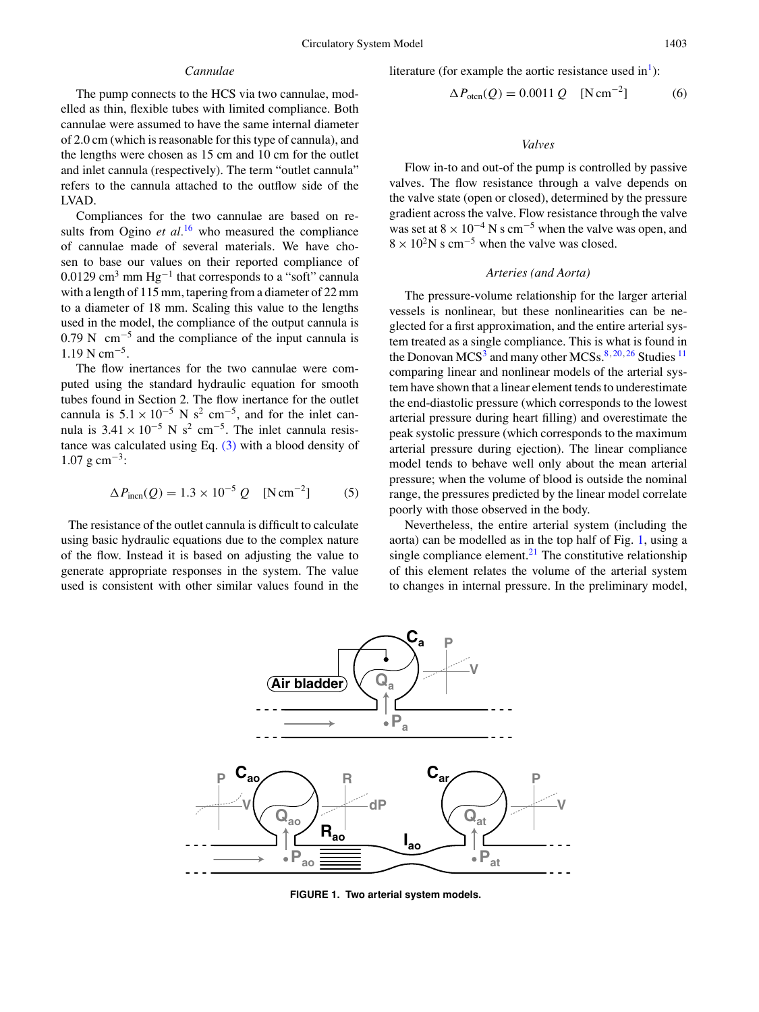# *Cannulae*

The pump connects to the HCS via two cannulae, modelled as thin, flexible tubes with limited compliance. Both cannulae were assumed to have the same internal diameter of 2.0 cm (which is reasonable for this type of cannula), and the lengths were chosen as 15 cm and 10 cm for the outlet and inlet cannula (respectively). The term "outlet cannula" refers to the cannula attached to the outflow side of the LVAD.

Compliances for the two cannulae are based on results from Ogino *et al[.](#page-13-8)*<sup>16</sup> who measured the compliance of cannulae made of several materials. We have chosen to base our values on their reported compliance of 0.0129 cm<sup>3</sup> mm Hg<sup>-1</sup> that corresponds to a "soft" cannula with a length of 115 mm, tapering from a diameter of 22 mm to a diameter of 18 mm. Scaling this value to the lengths used in the model, the compliance of the output cannula is 0.79 N cm−<sup>5</sup> and the compliance of the input cannula is  $1.19$  N cm<sup>-5</sup>.

The flow inertances for the two cannulae were computed using the standard hydraulic equation for smooth tubes found in Section 2. The flow inertance for the outlet cannula is  $5.1 \times 10^{-5}$  N s<sup>2</sup> cm<sup>-5</sup>, and for the inlet cannula is  $3.41 \times 10^{-5}$  N s<sup>2</sup> cm<sup>-5</sup>. The inlet cannula resistance was calculated using Eq. [\(3\)](#page-1-0) with a blood density of  $1.07 \text{ g cm}^{-3}$ :

$$
\Delta P_{\text{incn}}(Q) = 1.3 \times 10^{-5} Q \quad [\text{N cm}^{-2}] \tag{5}
$$

<span id="page-3-1"></span><span id="page-3-0"></span>The resistance of the outlet cannula is difficult to calculate using basic hydraulic equations due to the complex nature of the flow. Instead it is based on adjusting the value to generate appropriate responses in the system. The value used is consistent with other similar values found in the literature (for example the aortic resista[n](#page-12-1)ce used in<sup>1</sup>[\)](#page-12-1):

$$
\Delta P_{\text{otcn}}(Q) = 0.0011 Q \quad [\text{N cm}^{-2}] \tag{6}
$$

#### *Valves*

Flow in-to and out-of the pump is controlled by passive valves. The flow resistance through a valve depends on the valve state (open or closed), determined by the pressure gradient across the valve. Flow resistance through the valve was set at  $8 \times 10^{-4}$  N s cm<sup>-5</sup> when the valve was open, and  $8 \times 10^2$ N s cm<sup>-5</sup> when the valve was closed.

#### *Arteries (and Aorta)*

The pressure-volume relationship for the larger arterial vessels is nonlinear, but these nonlinearities can be neglected for a first approximation, and the entire arterial system treated as a single compliance. This is what is found in the Donovan MC[S](#page-12-2)<sup>3</sup> and many other MCSs[.](#page-13-9)<sup>8,20,26</sup> Studies<sup>11</sup> comparing linear and nonlinear models of the arterial system have shown that a linear element tends to underestimate the end-diastolic pressure (which corresponds to the lowest arterial pressure during heart filling) and overestimate the peak systolic pressure (which corresponds to the maximum arterial pressure during ejection). The linear compliance model tends to behave well only about the mean arterial pressure; when the volume of blood is outside the nominal range, the pressures predicted by the linear model correlate poorly with those observed in the body.

Nevertheless, the entire arterial system (including the aorta) can be modelled as in the top half of Fig. [1,](#page-3-0) using a single compliance element[.](#page-13-6) $^{21}$  The constitutive relationship of this element relates the volume of the arterial system to changes in internal pressure. In the preliminary model,



**FIGURE 1. Two arterial system models.**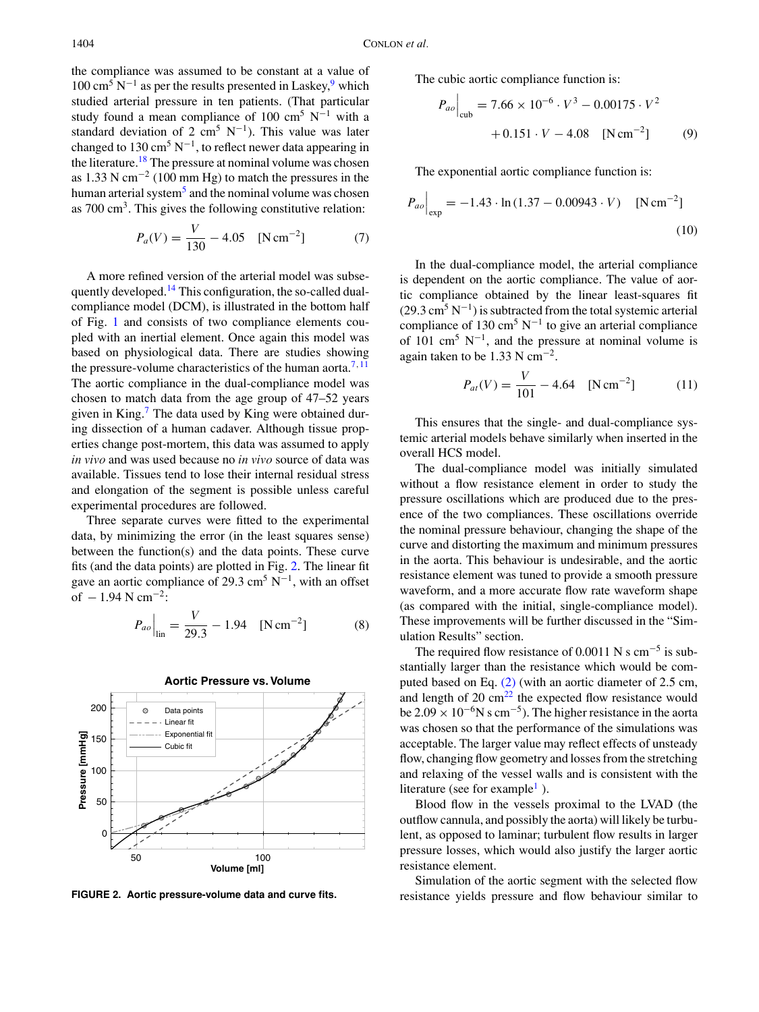the compliance was assumed to be constant at a value of  $100 \text{ cm}^5 \text{ N}^{-1}$  as per the results presented in Laskey[,](#page-13-10)<sup>9</sup> which studied arterial pressure in ten patients. (That particular study found a mean compliance of 100 cm<sup>5</sup> N<sup>-1</sup> with a standard deviation of 2 cm<sup>5</sup> N<sup>-1</sup>). This value was later changed to 130 cm<sup>5</sup> N<sup>-1</sup>, to reflect newer data appearing in the literature[.](#page-13-11)<sup>18</sup> The pressure at nominal volume was chosen as 1.33 N cm<sup>-2</sup> (100 mm Hg) to match the pressures in the hu[m](#page-13-4)an arterial system<sup>5</sup> and the nominal volume was chosen as  $700 \text{ cm}^3$ . This gives the following constitutive relation:

$$
P_a(V) = \frac{V}{130} - 4.05 \quad \text{[N cm}^{-2}\text{]} \tag{7}
$$

A more refined version of the arterial model was subse-quently developed[.](#page-13-7) $14$  This configuration, the so-called dualcompliance model (DCM), is illustrated in the bottom half of Fig. [1](#page-3-0) and consists of two compliance elements coupled with an inertial element. Once again this model was based on physiological data. There are studies showing the pressure-volume characteristics of the human aorta[.](#page-13-12)<sup>7,11</sup> The aortic compliance in the dual-compliance model was chosen to match data from the age group of 47–52 years given in King[.](#page-13-12) $<sup>7</sup>$  The data used by King were obtained dur-</sup> ing dissection of a human cadaver. Although tissue properties change post-mortem, this data was assumed to apply *in vivo* and was used because no *in vivo* source of data was available. Tissues tend to lose their internal residual stress and elongation of the segment is possible unless careful experimental procedures are followed.

Three separate curves were fitted to the experimental data, by minimizing the error (in the least squares sense) between the function(s) and the data points. These curve fits (and the data points) are plotted in Fig. [2.](#page-4-0) The linear fit gave an aortic compliance of 29.3 cm<sup>5</sup> N<sup>-1</sup>, with an offset of  $-1.94$  N cm<sup>-2</sup>:

$$
P_{ao}\Big|_{\text{lin}} = \frac{V}{29.3} - 1.94 \quad \text{[N cm}^{-2}\text{]} \tag{8}
$$

<span id="page-4-0"></span>

**FIGURE 2. Aortic pressure-volume data and curve fits.**

The cubic aortic compliance function is:

$$
P_{ao}\Big|_{\text{cub}} = 7.66 \times 10^{-6} \cdot V^3 - 0.00175 \cdot V^2
$$
  
+ 0.151 \cdot V - 4.08 [N cm<sup>-2</sup>] (9)

The exponential aortic compliance function is:

$$
P_{ao}\Big|_{\exp} = -1.43 \cdot \ln(1.37 - 0.00943 \cdot V) \quad \text{[N cm}^{-2}\text{]}
$$
\n(10)

In the dual-compliance model, the arterial compliance is dependent on the aortic compliance. The value of aortic compliance obtained by the linear least-squares fit  $(29.3 \text{ cm}^5 \text{ N}^{-1})$  is subtracted from the total systemic arterial compliance of 130 cm<sup>5</sup> N<sup>-1</sup> to give an arterial compliance of 101 cm<sup>5</sup> N<sup>-1</sup>, and the pressure at nominal volume is again taken to be 1.33 N cm<sup>-2</sup>.

$$
P_{at}(V) = \frac{V}{101} - 4.64 \quad \text{[N cm}^{-2}\text{]} \tag{11}
$$

This ensures that the single- and dual-compliance systemic arterial models behave similarly when inserted in the overall HCS model.

The dual-compliance model was initially simulated without a flow resistance element in order to study the pressure oscillations which are produced due to the presence of the two compliances. These oscillations override the nominal pressure behaviour, changing the shape of the curve and distorting the maximum and minimum pressures in the aorta. This behaviour is undesirable, and the aortic resistance element was tuned to provide a smooth pressure waveform, and a more accurate flow rate waveform shape (as compared with the initial, single-compliance model). These improvements will be further discussed in the "Simulation Results" section.

The required flow resistance of  $0.0011$  N s cm<sup>-5</sup> is substantially larger than the resistance which would be computed based on Eq. [\(2\)](#page-1-1) (with an aortic diameter of 2.5 cm, and length of 20  $\text{cm}^{22}$  $\text{cm}^{22}$  $\text{cm}^{22}$  the expected flow resistance would be  $2.09 \times 10^{-6}$ N s cm<sup>-5</sup>). The higher resistance in the aorta was chosen so that the performance of the simulations was acceptable. The larger value may reflect effects of unsteady flow, changing flow geometry and losses from the stretching and relaxing of the vessel walls and is consistent with the lit[e](#page-12-1)rature (see for example<sup>1</sup>).

Blood flow in the vessels proximal to the LVAD (the outflow cannula, and possibly the aorta) will likely be turbulent, as opposed to laminar; turbulent flow results in larger pressure losses, which would also justify the larger aortic resistance element.

Simulation of the aortic segment with the selected flow resistance yields pressure and flow behaviour similar to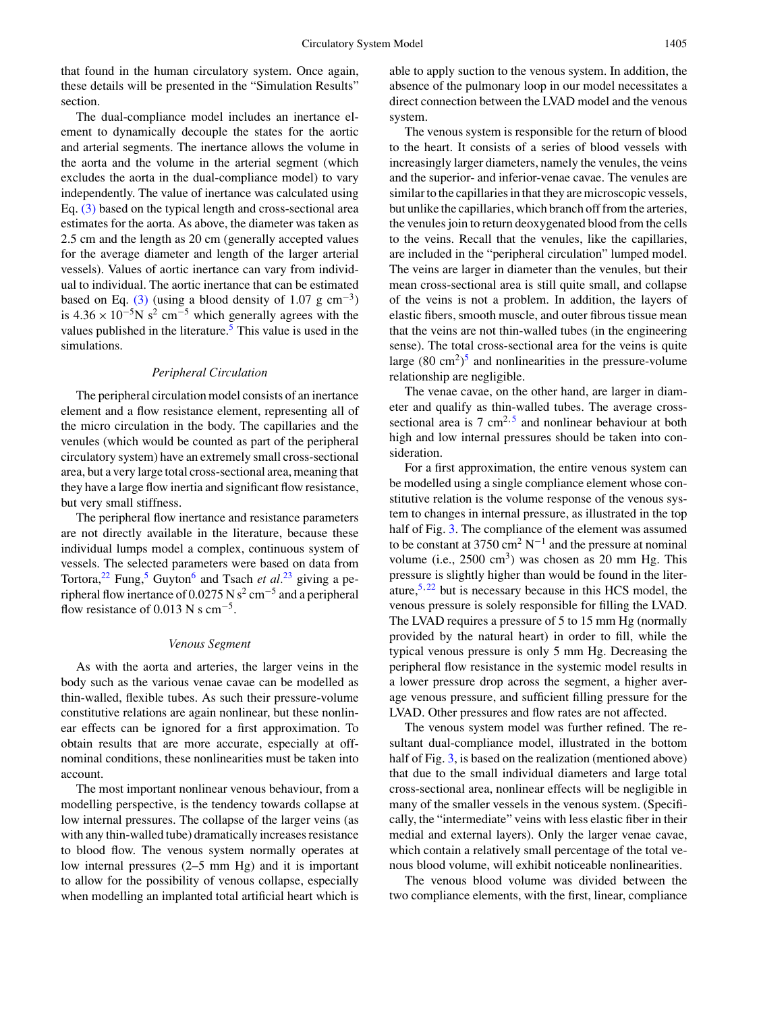that found in the human circulatory system. Once again, these details will be presented in the "Simulation Results" section.

The dual-compliance model includes an inertance element to dynamically decouple the states for the aortic and arterial segments. The inertance allows the volume in the aorta and the volume in the arterial segment (which excludes the aorta in the dual-compliance model) to vary independently. The value of inertance was calculated using Eq. [\(3\)](#page-1-0) based on the typical length and cross-sectional area estimates for the aorta. As above, the diameter was taken as 2.5 cm and the length as 20 cm (generally accepted values for the average diameter and length of the larger arterial vessels). Values of aortic inertance can vary from individual to individual. The aortic inertance that can be estimated based on Eq. [\(3\)](#page-1-0) (using a blood density of 1.07 g cm<sup>-3</sup>) is  $4.36 \times 10^{-5}$ N s<sup>2</sup> cm<sup>-5</sup> which generally agrees with the values published in the literature[.](#page-13-4) $\frac{5}{5}$  This value is used in the simulations.

#### *Peripheral Circulation*

The peripheral circulation model consists of an inertance element and a flow resistance element, representing all of the micro circulation in the body. The capillaries and the venules (which would be counted as part of the peripheral circulatory system) have an extremely small cross-sectional area, but a very large total cross-sectional area, meaning that they have a large flow inertia and significant flow resistance, but very small stiffness.

The peripheral flow inertance and resistance parameters are not directly available in the literature, because these individual lumps model a complex, continuous system of vessels. The selected parameters were based on data from Tortora[,](#page-13-4)<sup>22</sup> Fu[n](#page-13-14)g,<sup>5</sup> Guyton<sup>6</sup> and Tsach *et al*,<sup>23</sup> giving a peripheral flow inertance of 0.0275 N s<sup>2</sup> cm<sup>-5</sup> and a peripheral flow resistance of 0.013 N s cm<sup>-5</sup>.

#### *Venous Segment*

As with the aorta and arteries, the larger veins in the body such as the various venae cavae can be modelled as thin-walled, flexible tubes. As such their pressure-volume constitutive relations are again nonlinear, but these nonlinear effects can be ignored for a first approximation. To obtain results that are more accurate, especially at offnominal conditions, these nonlinearities must be taken into account.

The most important nonlinear venous behaviour, from a modelling perspective, is the tendency towards collapse at low internal pressures. The collapse of the larger veins (as with any thin-walled tube) dramatically increases resistance to blood flow. The venous system normally operates at low internal pressures (2–5 mm Hg) and it is important to allow for the possibility of venous collapse, especially when modelling an implanted total artificial heart which is

able to apply suction to the venous system. In addition, the absence of the pulmonary loop in our model necessitates a direct connection between the LVAD model and the venous system.

The venous system is responsible for the return of blood to the heart. It consists of a series of blood vessels with increasingly larger diameters, namely the venules, the veins and the superior- and inferior-venae cavae. The venules are similar to the capillaries in that they are microscopic vessels, but unlike the capillaries, which branch off from the arteries, the venules join to return deoxygenated blood from the cells to the veins. Recall that the venules, like the capillaries, are included in the "peripheral circulation" lumped model. The veins are larger in diameter than the venules, but their mean cross-sectional area is still quite small, and collapse of the veins is not a problem. In addition, the layers of elastic fibers, smooth muscle, and outer fibrous tissue mean that the veins are not thin-walled tubes (in the engineering sense). The total cross-sectional area for the veins is quite large  $(80 \text{ cm}^2)^5$  $(80 \text{ cm}^2)^5$  $(80 \text{ cm}^2)^5$  and nonlinearities in the pressure-volume relationship are negligible.

The venae cavae, on the other hand, are larger in diameter and qualify as thin-walled tubes. The average crosssectional area is  $7 \text{ cm}^{2.5}$  and nonlinear behaviour at both high and low internal pressures should be taken into consideration.

For a first approximation, the entire venous system can be modelled using a single compliance element whose constitutive relation is the volume response of the venous system to changes in internal pressure, as illustrated in the top half of Fig. [3.](#page-6-0) The compliance of the element was assumed to be constant at 3750 cm<sup>2</sup> N<sup>-1</sup> and the pressure at nominal volume (i.e.,  $2500 \text{ cm}^3$ ) was chosen as 20 mm Hg. This pressure is slightly higher than would be found in the liter-ature[,](#page-13-4)  $5,22$  but is necessary because in this HCS model, the venous pressure is solely responsible for filling the LVAD. The LVAD requires a pressure of 5 to 15 mm Hg (normally provided by the natural heart) in order to fill, while the typical venous pressure is only 5 mm Hg. Decreasing the peripheral flow resistance in the systemic model results in a lower pressure drop across the segment, a higher average venous pressure, and sufficient filling pressure for the LVAD. Other pressures and flow rates are not affected.

The venous system model was further refined. The resultant dual-compliance model, illustrated in the bottom half of Fig. [3,](#page-6-0) is based on the realization (mentioned above) that due to the small individual diameters and large total cross-sectional area, nonlinear effects will be negligible in many of the smaller vessels in the venous system. (Specifically, the "intermediate" veins with less elastic fiber in their medial and external layers). Only the larger venae cavae, which contain a relatively small percentage of the total venous blood volume, will exhibit noticeable nonlinearities.

The venous blood volume was divided between the two compliance elements, with the first, linear, compliance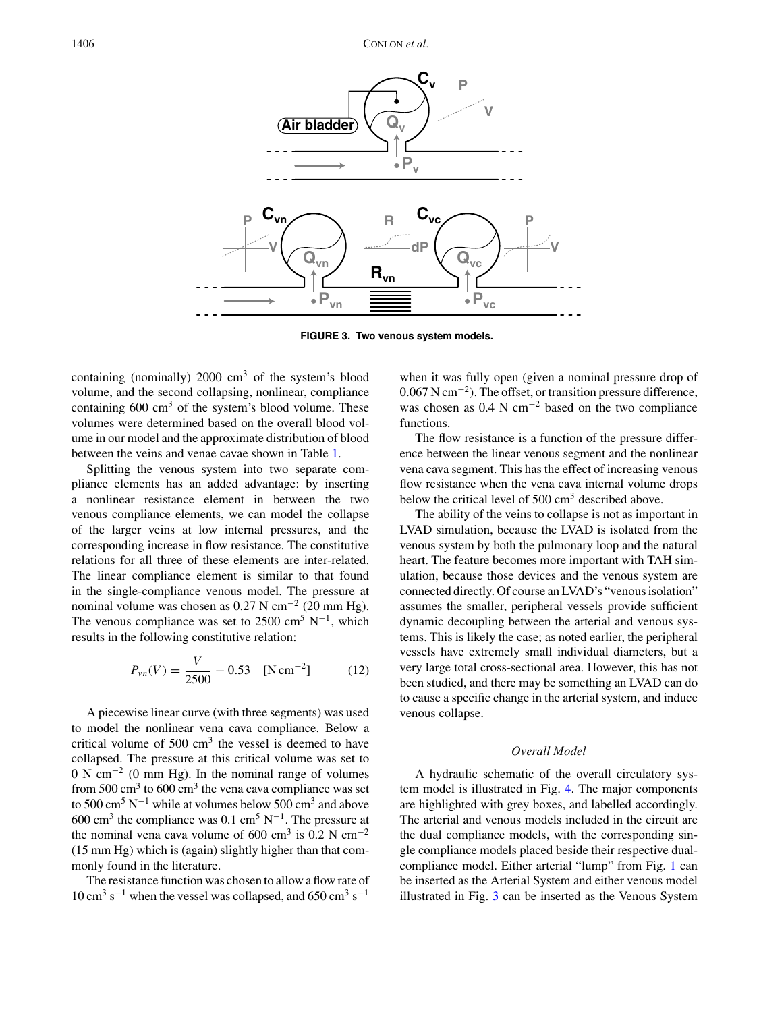<span id="page-6-0"></span>

**FIGURE 3. Two venous system models.**

containing (nominally)  $2000 \text{ cm}^3$  of the system's blood volume, and the second collapsing, nonlinear, compliance containing  $600 \text{ cm}^3$  of the system's blood volume. These volumes were determined based on the overall blood volume in our model and the approximate distribution of blood between the veins and venae cavae shown in Table [1.](#page-2-0)

Splitting the venous system into two separate compliance elements has an added advantage: by inserting a nonlinear resistance element in between the two venous compliance elements, we can model the collapse of the larger veins at low internal pressures, and the corresponding increase in flow resistance. The constitutive relations for all three of these elements are inter-related. The linear compliance element is similar to that found in the single-compliance venous model. The pressure at nominal volume was chosen as  $0.27$  N cm<sup>-2</sup> (20 mm Hg). The venous compliance was set to 2500 cm<sup>5</sup> N<sup>-1</sup>, which results in the following constitutive relation:

$$
P_{vn}(V) = \frac{V}{2500} - 0.53 \quad \text{[N cm}^{-2}\text{]} \tag{12}
$$

<span id="page-6-1"></span>A piecewise linear curve (with three segments) was used to model the nonlinear vena cava compliance. Below a critical volume of  $500 \text{ cm}^3$  the vessel is deemed to have collapsed. The pressure at this critical volume was set to  $0$  N cm<sup>-2</sup> (0 mm Hg). In the nominal range of volumes from 500  $\text{cm}^3$  to 600  $\text{cm}^3$  the vena cava compliance was set to 500 cm<sup>5</sup> N<sup>-1</sup> while at volumes below 500 cm<sup>3</sup> and above 600 cm<sup>3</sup> the compliance was 0.1 cm<sup>5</sup> N<sup>-1</sup>. The pressure at the nominal vena cava volume of 600 cm<sup>3</sup> is 0.2 N cm<sup>-2</sup> (15 mm Hg) which is (again) slightly higher than that commonly found in the literature.

The resistance function was chosen to allow a flow rate of  $10 \text{ cm}^3 \text{ s}^{-1}$  when the vessel was collapsed, and 650 cm<sup>3</sup> s<sup>-1</sup>

when it was fully open (given a nominal pressure drop of 0.067 N cm<sup>−</sup>2). The offset, or transition pressure difference, was chosen as  $0.4 \text{ N cm}^{-2}$  based on the two compliance functions.

The flow resistance is a function of the pressure difference between the linear venous segment and the nonlinear vena cava segment. This has the effect of increasing venous flow resistance when the vena cava internal volume drops below the critical level of  $500 \text{ cm}^3$  described above.

The ability of the veins to collapse is not as important in LVAD simulation, because the LVAD is isolated from the venous system by both the pulmonary loop and the natural heart. The feature becomes more important with TAH simulation, because those devices and the venous system are connected directly. Of course an LVAD's "venous isolation" assumes the smaller, peripheral vessels provide sufficient dynamic decoupling between the arterial and venous systems. This is likely the case; as noted earlier, the peripheral vessels have extremely small individual diameters, but a very large total cross-sectional area. However, this has not been studied, and there may be something an LVAD can do to cause a specific change in the arterial system, and induce venous collapse.

#### *Overall Model*

A hydraulic schematic of the overall circulatory system model is illustrated in Fig. [4.](#page-7-0) The major components are highlighted with grey boxes, and labelled accordingly. The arterial and venous models included in the circuit are the dual compliance models, with the corresponding single compliance models placed beside their respective dualcompliance model. Either arterial "lump" from Fig. [1](#page-3-0) can be inserted as the Arterial System and either venous model illustrated in Fig. [3](#page-6-0) can be inserted as the Venous System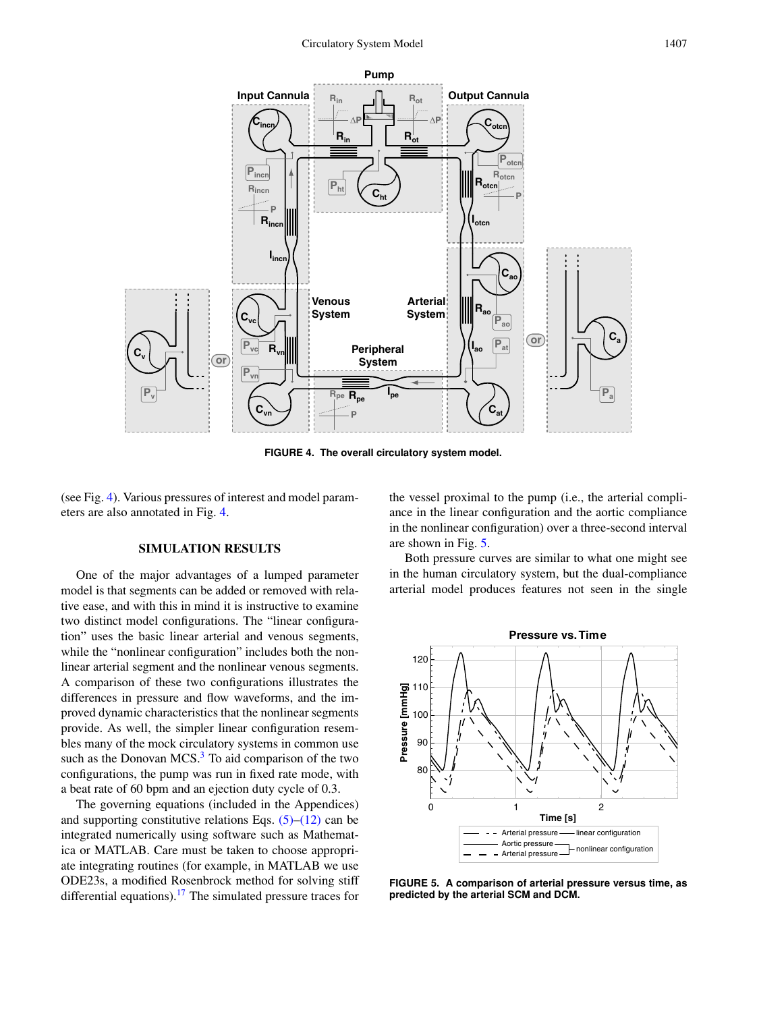<span id="page-7-0"></span>

**FIGURE 4. The overall circulatory system model.**

(see Fig. [4\)](#page-7-0). Various pressures of interest and model parameters are also annotated in Fig. [4.](#page-7-0)

# **SIMULATION RESULTS**

One of the major advantages of a lumped parameter model is that segments can be added or removed with relative ease, and with this in mind it is instructive to examine two distinct model configurations. The "linear configuration" uses the basic linear arterial and venous segments, while the "nonlinear configuration" includes both the nonlinear arterial segment and the nonlinear venous segments. A comparison of these two configurations illustrates the differences in pressure and flow waveforms, and the improved dynamic characteristics that the nonlinear segments provide. As well, the simpler linear configuration resembles many of the mock circulatory systems in common use such as the Donovan MCS[.](#page-12-2) $3$  To aid comparison of the two configurations, the pump was run in fixed rate mode, with a beat rate of 60 bpm and an ejection duty cycle of 0.3.

The governing equations (included in the Appendices) and supporting constitutive relations Eqs.  $(5)$ – $(12)$  can be integrated numerically using software such as Mathematica or MATLAB. Care must be taken to choose appropriate integrating routines (for example, in MATLAB we use ODE23s, a modified Rosenbrock method for solving stiff differential equations)[.](#page-13-16)<sup>17</sup> The simulated pressure traces for the vessel proximal to the pump (i.e., the arterial compliance in the linear configuration and the aortic compliance in the nonlinear configuration) over a three-second interval are shown in Fig. [5.](#page-7-1)

Both pressure curves are similar to what one might see in the human circulatory system, but the dual-compliance arterial model produces features not seen in the single

<span id="page-7-1"></span>

**FIGURE 5. A comparison of arterial pressure versus time, as predicted by the arterial SCM and DCM.**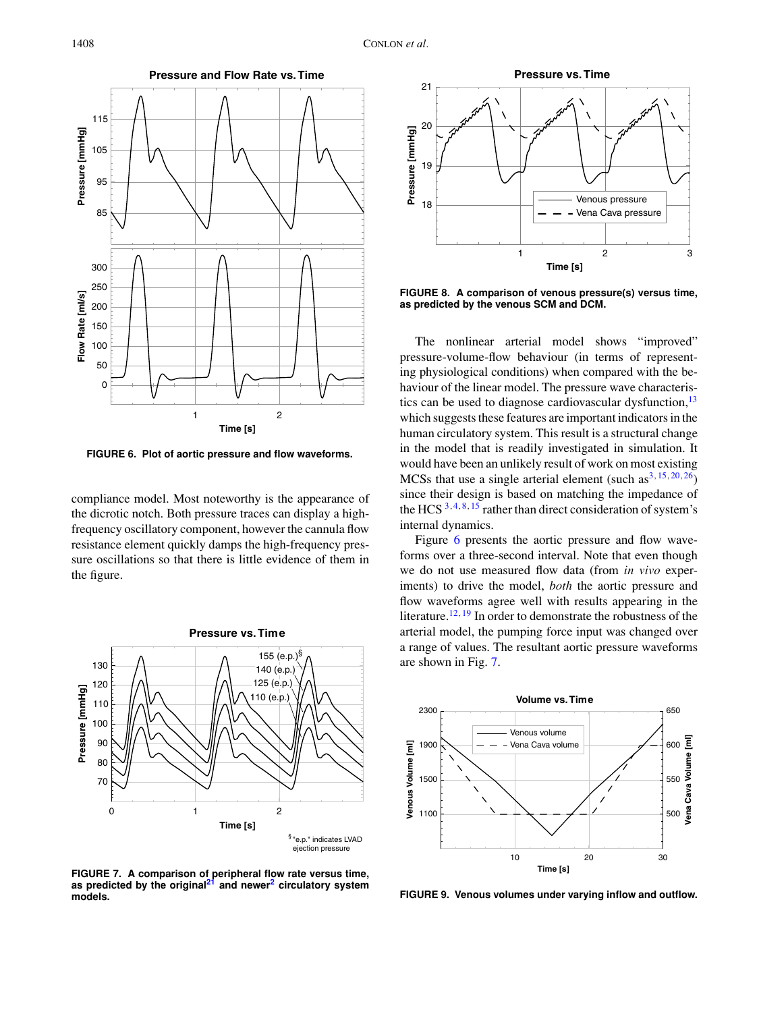<span id="page-8-0"></span>

**FIGURE 6. Plot of aortic pressure and flow waveforms.**

compliance model. Most noteworthy is the appearance of the dicrotic notch. Both pressure traces can display a highfrequency oscillatory component, however the cannula flow resistance element quickly damps the high-frequency pressure oscillations so that there is little evidence of them in the figure.

<span id="page-8-1"></span>

**FIGURE 7. A comparison of peripheral flow rate versus time, as predicted by the origina[l](#page-13-6)<sup>21</sup> and newe[r](#page-12-0)2 circulatory system models.**

<span id="page-8-2"></span>

**FIGURE 8. A comparison of venous pressure(s) versus time, as predicted by the venous SCM and DCM.**

The nonlinear arterial model shows "improved" pressure-volume-flow behaviour (in terms of representing physiological conditions) when compared with the behaviour of the linear model. The pressure wave characteris-tics can be used to diagnose cardiovascular dysfunction[,](#page-13-17)  $13$ which suggests these features are important indicators in the human circulatory system. This result is a structural change in the model that is readily investigated in simulation. It would have been an unlikely result of work on most existing MCS[s](#page-12-2) that use a single arterial element (such as  $3,15,20,26$ [\)](#page-13-18) since their design is based on matching the impedance of the HCS  $3,4,8,15$  rather than direct consideration of system's internal dynamics.

Figure [6](#page-8-0) presents the aortic pressure and flow waveforms over a three-second interval. Note that even though we do not use measured flow data (from *in vivo* experiments) to drive the model, *both* the aortic pressure and flow waveforms agree well with results appearing in the literature[.](#page-13-0)<sup>12,19</sup> In order to demonstrate the robustness of the arterial model, the pumping force input was changed over a range of values. The resultant aortic pressure waveforms are shown in Fig. [7.](#page-8-1)

<span id="page-8-3"></span>

**FIGURE 9. Venous volumes under varying inflow and outflow.**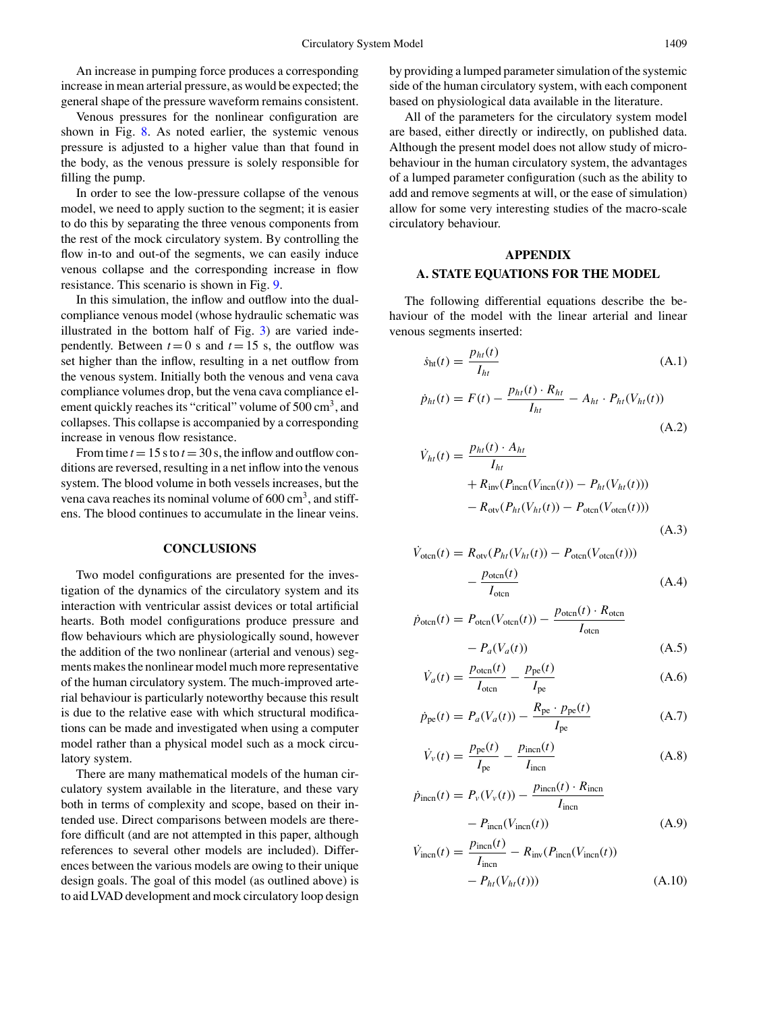An increase in pumping force produces a corresponding increase in mean arterial pressure, as would be expected; the general shape of the pressure waveform remains consistent.

Venous pressures for the nonlinear configuration are shown in Fig. [8.](#page-8-2) As noted earlier, the systemic venous pressure is adjusted to a higher value than that found in the body, as the venous pressure is solely responsible for filling the pump.

In order to see the low-pressure collapse of the venous model, we need to apply suction to the segment; it is easier to do this by separating the three venous components from the rest of the mock circulatory system. By controlling the flow in-to and out-of the segments, we can easily induce venous collapse and the corresponding increase in flow resistance. This scenario is shown in Fig. [9.](#page-8-3)

In this simulation, the inflow and outflow into the dualcompliance venous model (whose hydraulic schematic was illustrated in the bottom half of Fig. [3\)](#page-6-0) are varied independently. Between  $t = 0$  s and  $t = 15$  s, the outflow was set higher than the inflow, resulting in a net outflow from the venous system. Initially both the venous and vena cava compliance volumes drop, but the vena cava compliance element quickly reaches its "critical" volume of  $500 \text{ cm}^3$ , and collapses. This collapse is accompanied by a corresponding increase in venous flow resistance.

From time  $t = 15$  s to  $t = 30$  s, the inflow and outflow conditions are reversed, resulting in a net inflow into the venous system. The blood volume in both vessels increases, but the vena cava reaches its nominal volume of  $600 \text{ cm}^3$ , and stiffens. The blood continues to accumulate in the linear veins.

# **CONCLUSIONS**

Two model configurations are presented for the investigation of the dynamics of the circulatory system and its interaction with ventricular assist devices or total artificial hearts. Both model configurations produce pressure and flow behaviours which are physiologically sound, however the addition of the two nonlinear (arterial and venous) segments makes the nonlinear model much more representative of the human circulatory system. The much-improved arterial behaviour is particularly noteworthy because this result is due to the relative ease with which structural modifications can be made and investigated when using a computer model rather than a physical model such as a mock circulatory system.

There are many mathematical models of the human circulatory system available in the literature, and these vary both in terms of complexity and scope, based on their intended use. Direct comparisons between models are therefore difficult (and are not attempted in this paper, although references to several other models are included). Differences between the various models are owing to their unique design goals. The goal of this model (as outlined above) is to aid LVAD development and mock circulatory loop design by providing a lumped parameter simulation of the systemic side of the human circulatory system, with each component based on physiological data available in the literature.

All of the parameters for the circulatory system model are based, either directly or indirectly, on published data. Although the present model does not allow study of microbehaviour in the human circulatory system, the advantages of a lumped parameter configuration (such as the ability to add and remove segments at will, or the ease of simulation) allow for some very interesting studies of the macro-scale circulatory behaviour.

# **APPENDIX A. STATE EQUATIONS FOR THE MODEL**

The following differential equations describe the behaviour of the model with the linear arterial and linear venous segments inserted:

$$
\dot{s}_{\rm ht}(t) = \frac{p_{ht}(t)}{I_{ht}} \tag{A.1}
$$

$$
\dot{p}_{ht}(t) = F(t) - \frac{p_{ht}(t) \cdot R_{ht}}{I_{ht}} - A_{ht} \cdot P_{ht}(V_{ht}(t))
$$
\n(A.2)

$$
\dot{V}_{ht}(t) = \frac{p_{ht}(t) \cdot A_{ht}}{I_{ht}}
$$
  
+  $R_{inv}(P_{incn}(V_{incn}(t)) - P_{ht}(V_{ht}(t)))$   
-  $R_{otv}(P_{ht}(V_{ht}(t)) - P_{otcn}(V_{otcn}(t)))$  (A.3)

$$
\dot{V}_{\text{otcn}}(t) = R_{\text{otv}}(P_{ht}(V_{ht}(t)) - P_{\text{otcn}}(V_{\text{otcn}}(t))) - \frac{p_{\text{otcn}}(t)}{I_{\text{otcn}}}
$$
\n(A.4)

$$
\dot{p}_{\text{otcn}}(t) = P_{\text{otcn}}(V_{\text{otcn}}(t)) - \frac{p_{\text{otcn}}(t) \cdot R_{\text{otcn}}}{I_{\text{otcn}}} - P_a(V_a(t)) \tag{A.5}
$$

$$
\dot{V}_a(t) = \frac{p_{\text{oten}}(t)}{I_{\text{oten}}} - \frac{p_{\text{pe}}(t)}{I_{\text{pe}}}
$$
\n(A.6)

$$
\dot{p}_{\rm pe}(t) = P_a(V_a(t)) - \frac{R_{\rm pe} \cdot p_{\rm pe}(t)}{I_{\rm pe}} \tag{A.7}
$$

$$
\dot{V}_v(t) = \frac{p_{\rm pe}(t)}{I_{\rm pe}} - \frac{p_{\rm incn}(t)}{I_{\rm incn}}
$$
\n(A.8)

$$
\dot{p}_{\text{incn}}(t) = P_v(V_v(t)) - \frac{p_{\text{incn}}(t) \cdot R_{\text{incn}}}{I_{\text{incn}}} - P_{\text{incn}}(V_{\text{incn}}(t))
$$
\n(A.9)

$$
\dot{V}_{\text{incn}}(t) = \frac{p_{\text{incn}}(t)}{I_{\text{incn}}} - R_{\text{inv}}(P_{\text{incn}}(V_{\text{incn}}(t)) - P_{ht}(V_{ht}(t)))
$$
\n(A.10)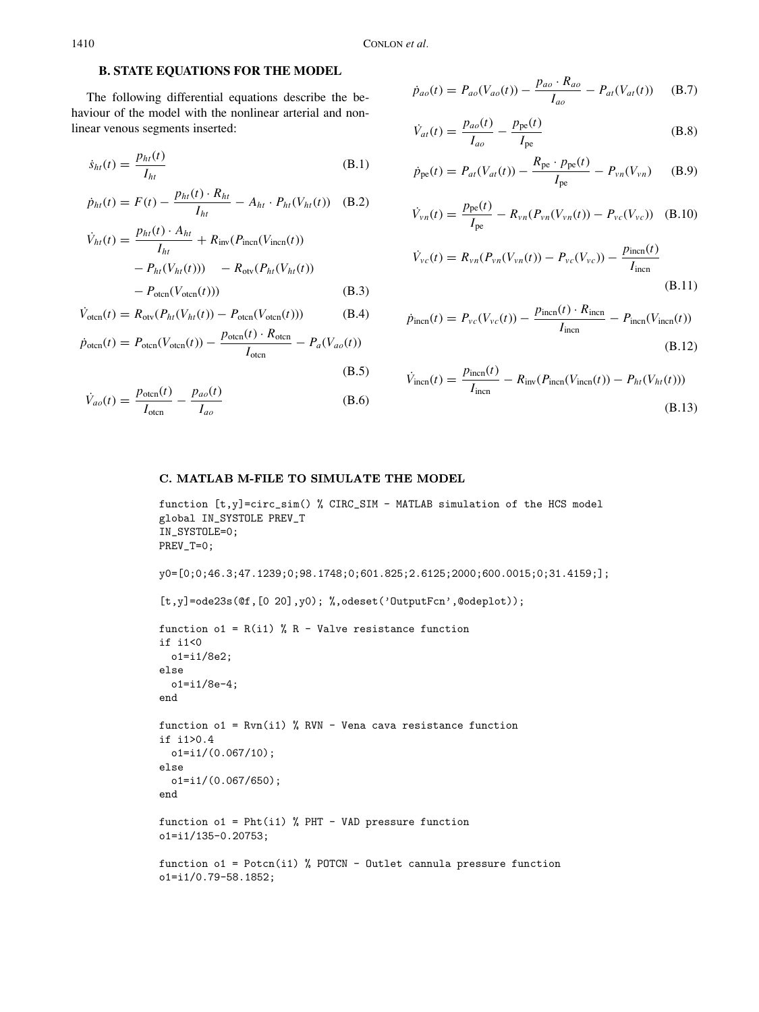# **B. STATE EQUATIONS FOR THE MODEL**

The following differential equations describe the behaviour of the model with the nonlinear arterial and nonlinear venous segments inserted:

$$
\dot{s}_{ht}(t) = \frac{p_{ht}(t)}{I_{ht}} \tag{B.1}
$$

$$
\dot{p}_{ht}(t) = F(t) - \frac{p_{ht}(t) \cdot R_{ht}}{I_{ht}} - A_{ht} \cdot P_{ht}(V_{ht}(t))
$$
 (B.2)

$$
\dot{V}_{ht}(t) = \frac{p_{ht}(t) \cdot A_{ht}}{I_{ht}} + R_{inv}(P_{incn}(V_{incn}(t)) - P_{ht}(V_{ht}(t))) - R_{ov}(P_{ht}(V_{ht}(t)) - P_{otcn}(V_{otcn}(t)))
$$
\n(B.3)

$$
\dot{V}_{\text{otcn}}(t) = R_{\text{otv}}(P_{ht}(V_{ht}(t)) - P_{\text{otcn}}(V_{\text{otcn}}(t)))
$$
\n(B.4)

$$
\dot{p}_{\text{otcn}}(t) = P_{\text{otcn}}(V_{\text{otcn}}(t)) - \frac{p_{\text{otcn}}(t) \cdot R_{\text{otcn}}}{I_{\text{otcn}}} - P_a(V_{ao}(t))
$$

$$
\dot{V}_{ao}(t) = \frac{p_{\text{oten}}(t)}{I_{\text{oten}}} - \frac{p_{ao}(t)}{I_{ao}}
$$
\n(B.6)

$$
\dot{p}_{ao}(t) = P_{ao}(V_{ao}(t)) - \frac{p_{ao} \cdot R_{ao}}{I_{ao}} - P_{at}(V_{at}(t))
$$
 (B.7)

$$
\dot{V}_{at}(t) = \frac{p_{ao}(t)}{I_{ao}} - \frac{p_{pe}(t)}{I_{pe}}
$$
(B.8)

$$
\dot{p}_{\rm pe}(t) = P_{at}(V_{at}(t)) - \frac{R_{\rm pe} \cdot p_{\rm pe}(t)}{I_{\rm pe}} - P_{vn}(V_{vn}) \tag{B.9}
$$

$$
\dot{V}_{\nu n}(t) = \frac{p_{\rm pe}(t)}{I_{\rm pe}} - R_{\nu n}(P_{\nu n}(V_{\nu n}(t)) - P_{\nu c}(V_{\nu c}))
$$
 (B.10)

$$
\dot{V}_{vc}(t) = R_{vn}(P_{vn}(V_{vn}(t)) - P_{vc}(V_{vc})) - \frac{p_{\text{incn}}(t)}{I_{\text{incn}}}
$$
\n(B.11)

$$
\dot{p}_{\text{incn}}(t) = P_{vc}(V_{vc}(t)) - \frac{p_{\text{incn}}(t) \cdot R_{\text{incn}}}{I_{\text{incn}}} - P_{\text{incn}}(V_{\text{incn}}(t))
$$
\n(B.12)

$$
\dot{V}_{\text{incn}}(t) = \frac{p_{\text{incn}}(t)}{I_{\text{incn}}} - R_{\text{inv}}(P_{\text{incn}}(V_{\text{incn}}(t)) - P_{ht}(V_{ht}(t)))
$$
\n(B.13)

# **C. MATLAB M-FILE TO SIMULATE THE MODEL**

(B.5)

```
function [t,y]=circ_sim() % CIRC_SIM - MATLAB simulation of the HCS model
global IN_SYSTOLE PREV_T
IN_SYSTOLE=0;
PREV_T=0;
y0=[0;0;46.3;47.1239;0;98.1748;0;601.825;2.6125;2000;600.0015;0;31.4159;];
[t,y]=ode23s(@f,[0 20],y0); %,odeset('OutputFcn',@odeplot));
function o1 = R(i1) % R - Valve resistance function
if i1<0
  o1=i1/8e2;
else
  o1=i1/8e-4;
end
function o1 = Rvn(i1) % RVN - Vena cava resistance function
if i1>0.4
 o1=i1/(0.067/10);
else
 o1=i1/(0.067/650);
end
function o1 = Pht(i1) % PHT - VAD pressure function
o1=i1/135-0.20753;
function o1 = Potcn(i1) % POTCN - Outlet cannula pressure function
o1=i1/0.79-58.1852;
```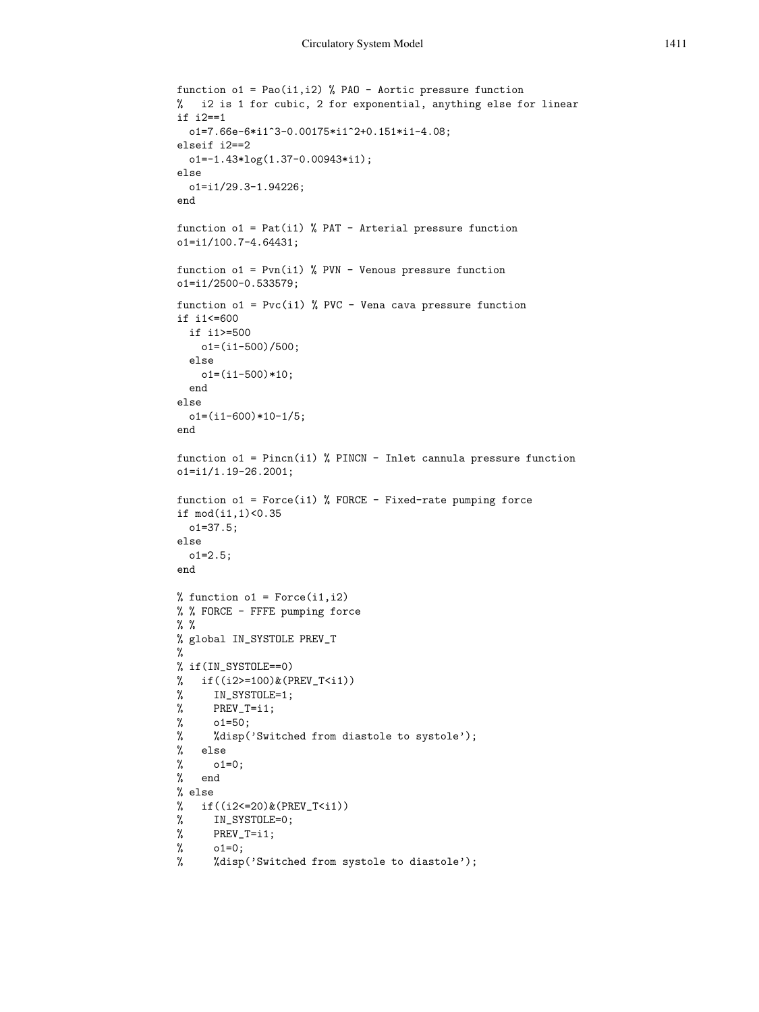```
function o1 = Pvc(i1) % PVC - Vena cava pressure function
if i1<=600
  if i1>=500
    o1=(i1-500)/500;
  else
    o1=(i1-500)*10;
  end
else
  o1=(i1-600)*10-1/5;
end
function o1 = Pincn(i1) % PINCN - Inlet cannula pressure function
o1=i1/1.19-26.2001;
function o1 = Force(i1) % FORCE - Fixed-rate pumping force
if mod(i1,1)<0.35
  o1=37.5;
else
  o1=2.5;
end
% function o1 = Force(i1, i2)% % FORCE - FFFE pumping force
\% %
% global IN_SYSTOLE PREV_T
%
% if(IN_SYSTOLE==0)
% if((i2>=100)&(PREV_T<i1))
% IN_SYSTOLE=1;
% PREV_T=i1;
% o1=50;
% %disp('Switched from diastole to systole');
% else
% o1=0;
% end
% else
% if((i2<=20)&(PREV_T<i1))
% IN_SYSTOLE=0;
% PREV_T=i1;<br>% o1=0:
     o1=0;
% %disp('Switched from systole to diastole');
function o1 = Pao(i1,i2) % PAO - Aortic pressure function
% i2 is 1 for cubic, 2 for exponential, anything else for linear
if i2==1
  o1=7.66e-6*i1^3-0.00175*i1^2+0.151*i1-4.08;
elseif i2==2
  o1=-1.43*log(1.37-0.00943*i1);
else
  o1=i1/29.3-1.94226;
end
function o1 = Pat(i1) % PAT - Arterial pressure function
o1=i1/100.7-4.64431;
function o1 = Pvn(i1) % PVN - Venous pressure function
o1=i1/2500-0.533579;
```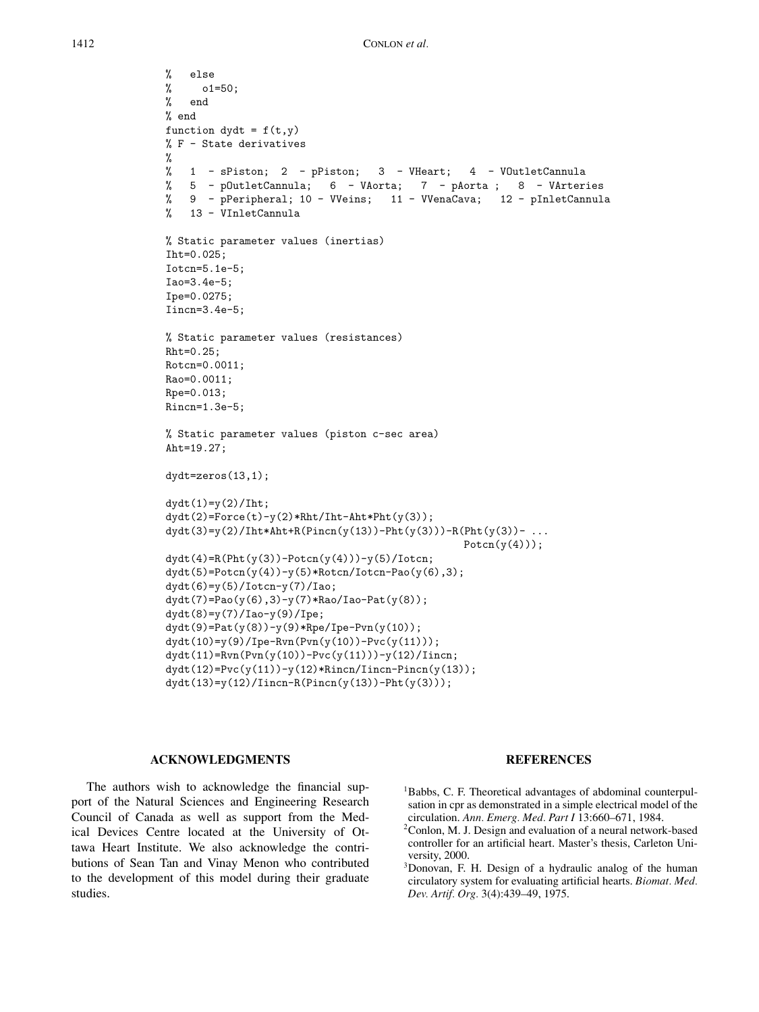```
function dydt = f(t,y)% F - State derivatives
%
% 1 - sPiston; 2 - pPiston; 3 - VHeart; 4 - VOutletCannula
% 5 - pOutletCannula; 6 - VAorta; 7 - pAorta ; 8 - VArteries
% 9 - pPeripheral; 10 - VVeins; 11 - VVenaCava; 12 - pInletCannula
% 13 - VInletCannula
% Static parameter values (inertias)
Iht=0.025;
Iotcn=5.1e-5;
Iao=3.4e-5;
Ipe=0.0275;
Iincn=3.4e-5;
% Static parameter values (resistances)
Rht=0.25;
Rotcn=0.0011;
Rao=0.0011;
Rpe=0.013;
Rincn=1.3e-5;
% Static parameter values (piston c-sec area)
Aht=19.27;
dydt=zeros(13,1);
dydt(1)=y(2)/Iht;dydt(2)=Force(t)-y(2)*Rht/Int-Aht*Pht(y(3));dydt(3)=y(2)/Iht*Aht+R(Pincn(y(13))-Pht(y(3)))-R(Pht(y(3))-...Potcn(y(4)));
dydt(4)=R(Pht(y(3)) - Potcn(y(4))) - y(5)/Iotcn;dydt(5) = Potcn(y(4)) - y(5) * Rotcn/Iotcn-Pao(y(6),3);dydt(6)=y(5)/Iotcn-y(7)/Iao;
dydt(7)=Pao(y(6),3)-y(7)*Rao/Iao-Pat(y(8));
dydt(8)=y(7)/Iao-y(9)/Ipe;dydt(9) = Pat(y(8)) - y(9) * Rpe/Ipe-Pvn(y(10));dydt(10)=y(9)/Ipe-Rvn(Pvn(y(10))-Pvc(y(11)));
dydt(11)=Rvn(Pvn(y(10))-Pvc(y(11)))-y(12)/Iincn;
dydt(12)=Pvc(y(11))-y(12)*Rincn/lincn-Pincn(y(13));% else
% \qquad 01 = 50:
% end
% end
```
# $dydt(13)=y(12)/Iincn-R(Pincn(y(13))-Pht(y(3)))$ ;

# **ACKNOWLEDGMENTS**

The authors wish to acknowledge the financial support of the Natural Sciences and Engineering Research Council of Canada as well as support from the Medical Devices Centre located at the University of Ottawa Heart Institute. We also acknowledge the contributions of Sean Tan and Vinay Menon who contributed to the development of this model during their graduate studies.

#### <span id="page-12-1"></span>**REFERENCES**

- <sup>1</sup>Babbs, C. F. Theoretical advantages of abdominal counterpulsation in cpr as demonstrated in a simple electrical model of the circulation. *Ann. Emerg. Med. Part I* 13:660–671, 1984.
- $2$ Conlon, M. J. Design and evaluation of a neural network-based controller for an artificial heart. Master's thesis, Carleton University, 2000.
- <span id="page-12-2"></span><span id="page-12-0"></span>3Donovan, F. H. Design of a hydraulic analog of the human circulatory system for evaluating artificial hearts. *Biomat. Med. Dev. Artif. Org.* 3(4):439–49, 1975.